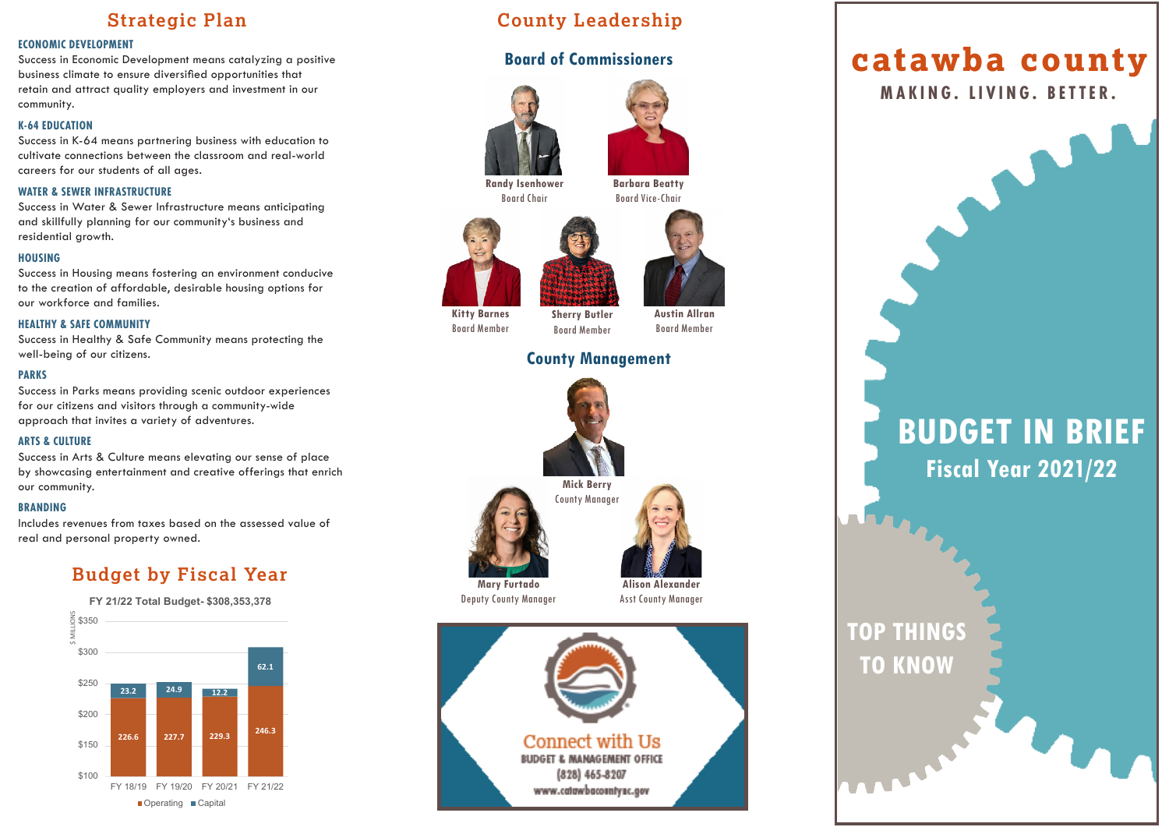## **Strategic Plan**

#### **ECONOMIC DEVELOPMENT**

Success in Economic Development means catalyzing a positive business climate to ensure diversified opportunities that retain and attract quality employers and investment in our community.

#### **K-64 EDUCATION**

Success in K-64 means partnering business with education to cultivate connections between the classroom and real-world careers for our students of all ages.

#### **WATER & SEWER INFRASTRUCTURE**

Success in Water & Sewer Infrastructure means anticipating and skillfully planning for our community's business and residential growth.

#### **HOUSING**

Success in Housing means fostering an environment conducive to the creation of affordable, desirable housing options for our workforce and families.

#### **HEALTHY & SAFE COMMUNITY**

Success in Healthy & Safe Community means protecting the well-being of our citizens.

#### **PARKS**

Success in Parks means providing scenic outdoor experiences for our citizens and visitors through a community-wide approach that invites a variety of adventures.

#### **ARTS & CULTURE**

Success in Arts & Culture means elevating our sense of place by showcasing entertainment and creative offerings that enrich our community.

#### **BRANDING**

Includes revenues from taxes based on the assessed value of real and personal property owned.

## **Budget by Fiscal Year**



## **County Leadership**

## **Board of Commissioners**





**Randy Isenhower** Board Chair

**Barbara Beatty** Board Vice-Chair





**Kitty Barnes** Board Member Board Member **Austin Allran** Board Member

### **County Management**





## **catawba county**

**MAKING. LIVING. BETTER.**

# **BUDGET IN BRIEF Fiscal Year 2021/22**

## **TOP THINGS TO KNOW**